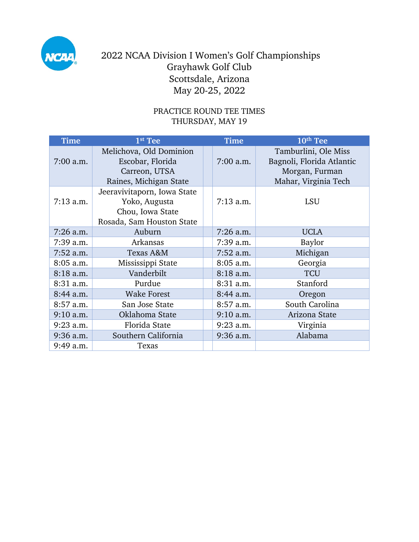

## PRACTICE ROUND TEE TIMES THURSDAY, MAY 19

| <b>Time</b> | 1st Tee                                                                                       | Time        | 10 <sup>th</sup> Tee                                                                        |
|-------------|-----------------------------------------------------------------------------------------------|-------------|---------------------------------------------------------------------------------------------|
| $7:00$ a.m. | Melichova, Old Dominion<br>Escobar, Florida<br>Carreon, UTSA<br>Raines, Michigan State        | $7:00$ a.m. | Tamburlini, Ole Miss<br>Bagnoli, Florida Atlantic<br>Morgan, Furman<br>Mahar, Virginia Tech |
| $7:13$ a.m. | Jeeravivitaporn, Iowa State<br>Yoko, Augusta<br>Chou, Iowa State<br>Rosada, Sam Houston State | $7:13$ a.m. | <b>LSU</b>                                                                                  |
| $7:26$ a.m. | Auburn                                                                                        | $7:26$ a.m. | <b>UCLA</b>                                                                                 |
| $7:39$ a.m. | Arkansas                                                                                      | $7:39$ a.m. | Baylor                                                                                      |
| $7:52$ a.m. | Texas A&M                                                                                     | $7:52$ a.m. | Michigan                                                                                    |
| $8:05$ a.m. | Mississippi State                                                                             | $8:05$ a.m. | Georgia                                                                                     |
| 8:18 a.m.   | Vanderbilt                                                                                    | 8:18 a.m.   | <b>TCU</b>                                                                                  |
| 8:31 a.m.   | Purdue                                                                                        | 8:31 a.m.   | Stanford                                                                                    |
| 8:44 a.m.   | <b>Wake Forest</b>                                                                            | 8:44 a.m.   | Oregon                                                                                      |
| $8:57$ a.m. | San Jose State                                                                                | 8:57 a.m.   | South Carolina                                                                              |
| $9:10$ a.m. | Oklahoma State                                                                                | $9:10$ a.m. | Arizona State                                                                               |
| $9:23$ a.m. | Florida State                                                                                 | $9:23$ a.m. | Virginia                                                                                    |
| $9:36$ a.m. | Southern California                                                                           | $9:36$ a.m. | Alabama                                                                                     |
| 9:49 a.m.   | Texas                                                                                         |             |                                                                                             |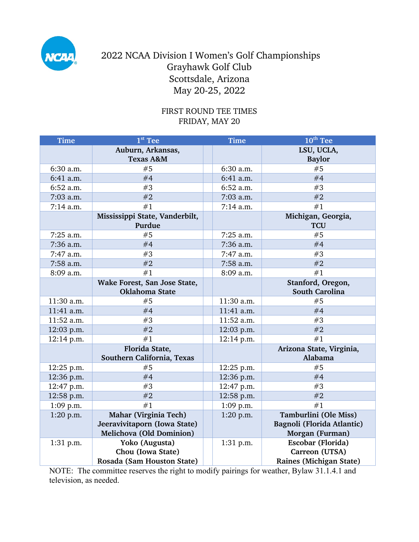

### FIRST ROUND TEE TIMES FRIDAY, MAY 20

| <b>Time</b> | $1st$ Tee                      | <b>Time</b> | $10th$ Tee                 |
|-------------|--------------------------------|-------------|----------------------------|
|             | Auburn, Arkansas,              |             | LSU, UCLA,                 |
|             | <b>Texas A&amp;M</b>           |             | <b>Baylor</b>              |
| 6:30 a.m.   | #5                             | 6:30 a.m.   | #5                         |
| 6:41 a.m.   | #4                             | 6:41 a.m.   | #4                         |
| 6:52 a.m.   | #3                             | 6:52 a.m.   | #3                         |
| 7:03 a.m.   | #2                             | 7:03 a.m.   | #2                         |
| 7:14 a.m.   | #1                             | 7:14 a.m.   | #1                         |
|             | Mississippi State, Vanderbilt, |             | Michigan, Georgia,         |
|             | Purdue                         |             | <b>TCU</b>                 |
| 7:25 a.m.   | #5                             | 7:25 a.m.   | #5                         |
| 7:36 a.m.   | #4                             | 7:36 a.m.   | #4                         |
| 7:47 a.m.   | #3                             | 7:47 a.m.   | #3                         |
| 7:58 a.m.   | #2                             | 7:58 a.m.   | #2                         |
| 8:09 a.m.   | #1                             | 8:09 a.m.   | #1                         |
|             | Wake Forest, San Jose State,   |             | Stanford, Oregon,          |
|             | Oklahoma State                 |             | <b>South Carolina</b>      |
| 11:30 a.m.  | #5                             | 11:30 a.m.  | #5                         |
| 11:41 a.m.  | #4                             | 11:41 a.m.  | #4                         |
| 11:52 a.m.  | #3                             | 11:52 a.m.  | #3                         |
| 12:03 p.m.  | #2                             | 12:03 p.m.  | #2                         |
| 12:14 p.m.  | #1                             | 12:14 p.m.  | #1                         |
|             | Florida State,                 |             | Arizona State, Virginia,   |
|             | Southern California, Texas     |             | Alabama                    |
| 12:25 p.m.  | #5                             | 12:25 p.m.  | #5                         |
| 12:36 p.m.  | #4                             | 12:36 p.m.  | #4                         |
| 12:47 p.m.  | #3                             | 12:47 p.m.  | #3                         |
| 12:58 p.m.  | #2                             | 12:58 p.m.  | #2                         |
| 1:09 p.m.   | #1                             | 1:09 p.m.   | #1                         |
| 1:20 p.m.   | Mahar (Virginia Tech)          | 1:20 p.m.   | Tamburlini (Ole Miss)      |
|             | Jeeravivitaporn (Iowa State)   |             | Bagnoli (Florida Atlantic) |
|             | Melichova (Old Dominion)       |             | Morgan (Furman)            |
| 1:31 p.m.   | Yoko (Augusta)                 | 1:31 p.m.   | Escobar (Florida)          |
|             | Chou (Iowa State)              |             | Carreon (UTSA)             |
|             | Rosada (Sam Houston State)     |             | Raines (Michigan State)    |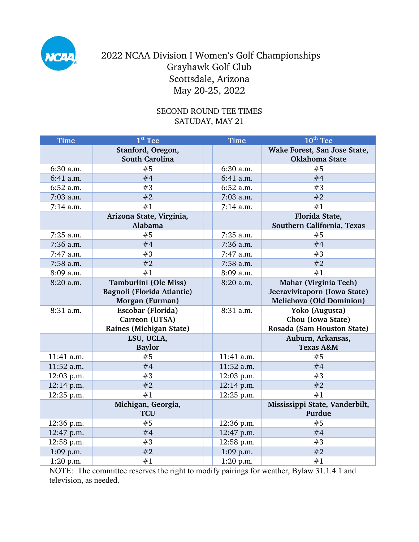

### SECOND ROUND TEE TIMES SATUDAY, MAY 21

| <b>Time</b> | $1st$ Tee                                  | <b>Time</b> | 10 <sup>th</sup> Tee                           |
|-------------|--------------------------------------------|-------------|------------------------------------------------|
|             | Stanford, Oregon,<br><b>South Carolina</b> |             | Wake Forest, San Jose State,<br>Oklahoma State |
| 6:30 a.m.   | #5                                         | 6:30 a.m.   | #5                                             |
| 6:41 a.m.   | #4                                         | 6:41 a.m.   | #4                                             |
| 6:52 a.m.   | #3                                         | 6:52 a.m.   | #3                                             |
| 7:03 a.m.   | #2                                         | 7:03 a.m.   | #2                                             |
| 7:14 a.m.   | #1                                         | 7:14 a.m.   | #1                                             |
|             | Arizona State, Virginia,<br>Alabama        |             | Florida State,<br>Southern California, Texas   |
| 7:25 a.m.   | #5                                         | 7:25 a.m.   | #5                                             |
| 7:36 a.m.   | #4                                         | 7:36 a.m.   | #4                                             |
| 7:47 a.m.   | #3                                         | 7:47 a.m.   | #3                                             |
| 7:58 a.m.   | #2                                         | 7:58 a.m.   | #2                                             |
| 8:09 a.m.   | #1                                         | 8:09 a.m.   | #1                                             |
| 8:20 a.m.   | Tamburlini (Ole Miss)                      | 8:20 a.m.   | Mahar (Virginia Tech)                          |
|             | Bagnoli (Florida Atlantic)                 |             | Jeeravivitaporn (Iowa State)                   |
|             | Morgan (Furman)                            |             | Melichova (Old Dominion)                       |
| 8:31 a.m.   | Escobar (Florida)                          | 8:31 a.m.   | Yoko (Augusta)                                 |
|             | Carreon (UTSA)                             |             | Chou (Iowa State)                              |
|             | <b>Raines (Michigan State)</b>             |             | Rosada (Sam Houston State)                     |
|             | LSU, UCLA,                                 |             | Auburn, Arkansas,                              |
|             | <b>Baylor</b>                              |             | <b>Texas A&amp;M</b>                           |
| 11:41 a.m.  | #5                                         | 11:41 a.m.  | #5                                             |
| 11:52 a.m.  | #4                                         | 11:52 a.m.  | #4                                             |
| 12:03 p.m.  | #3                                         | 12:03 p.m.  | #3                                             |
| 12:14 p.m.  | #2                                         | 12:14 p.m.  | #2                                             |
| 12:25 p.m.  | #1                                         | 12:25 p.m.  | #1                                             |
|             | Michigan, Georgia,<br><b>TCU</b>           |             | Mississippi State, Vanderbilt,<br>Purdue       |
| 12:36 p.m.  | #5                                         | 12:36 p.m.  | #5                                             |
| 12:47 p.m.  | #4                                         | 12:47 p.m.  | #4                                             |
| 12:58 p.m.  | #3                                         | 12:58 p.m.  | #3                                             |
| 1:09 p.m.   | #2                                         | $1:09$ p.m. | #2                                             |
| 1:20 p.m.   | #1                                         | 1:20 p.m.   | #1                                             |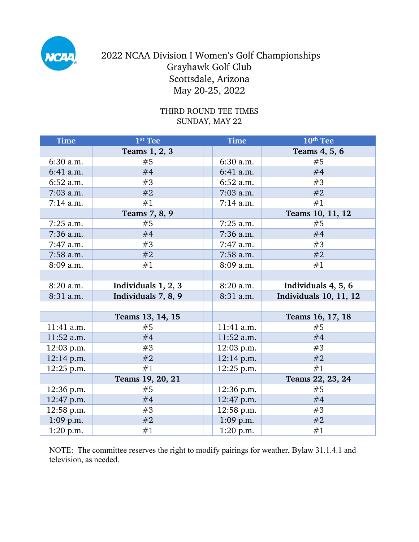

#### THIRD ROUND TEE TIMES SUNDAY, MAY 22

| Time         | 1st Tee             | <b>Time</b>  | 10 <sup>th</sup> Tee          |
|--------------|---------------------|--------------|-------------------------------|
|              | Teams 1, 2, 3       |              | Teams 4, 5, 6                 |
| 6:30 a.m.    | #5                  | 6:30 a.m.    | #5                            |
| 6:41 a.m.    | #4                  | 6:41 a.m.    | #4                            |
| 6:52 a.m.    | #3                  | 6:52 a.m.    | #3                            |
| $7:03$ a.m.  | #2                  | 7:03 a.m.    | #2                            |
| $7:14$ a.m.  | #1                  | $7:14$ a.m.  | #1                            |
|              | Teams 7, 8, 9       |              | Teams 10, 11, 12              |
| $7:25$ a.m.  | #5                  | $7:25$ a.m.  | #5                            |
| 7:36 a.m.    | #4                  | 7:36 a.m.    | #4                            |
| 7:47 a.m.    | #3                  | 7:47 a.m.    | #3                            |
| 7:58 a.m.    | #2                  | 7:58 a.m.    | #2                            |
| 8:09 a.m.    | #1                  | 8:09 a.m.    | #1                            |
|              |                     |              |                               |
| 8:20 a.m.    | Individuals 1, 2, 3 | 8:20 a.m.    | Individuals 4, 5, 6           |
| 8:31 a.m.    | Individuals 7, 8, 9 | 8:31 a.m.    | <b>Individuals 10, 11, 12</b> |
|              |                     |              |                               |
|              | Teams 13, 14, 15    |              | Teams 16, 17, 18              |
| 11:41 a.m.   | #5                  | 11:41 a.m.   | #5                            |
| 11:52 a.m.   | #4                  | 11:52 a.m.   | #4                            |
| $12:03$ p.m. | #3                  | 12:03 p.m.   | #3                            |
| 12:14 p.m.   | #2                  | $12:14$ p.m. | #2                            |
| 12:25 p.m.   | #1                  | 12:25 p.m.   | #1                            |
|              | Teams 19, 20, 21    |              | Teams 22, 23, 24              |
| 12:36 p.m.   | #5                  | $12:36$ p.m. | #5                            |
| 12:47 p.m.   | #4                  | 12:47 p.m.   | #4                            |
| 12:58 p.m.   | #3                  | 12:58 p.m.   | #3                            |
| $1:09$ p.m.  | #2                  | $1:09$ p.m.  | #2                            |
| $1:20$ p.m.  | #1                  | 1:20 p.m.    | #1                            |